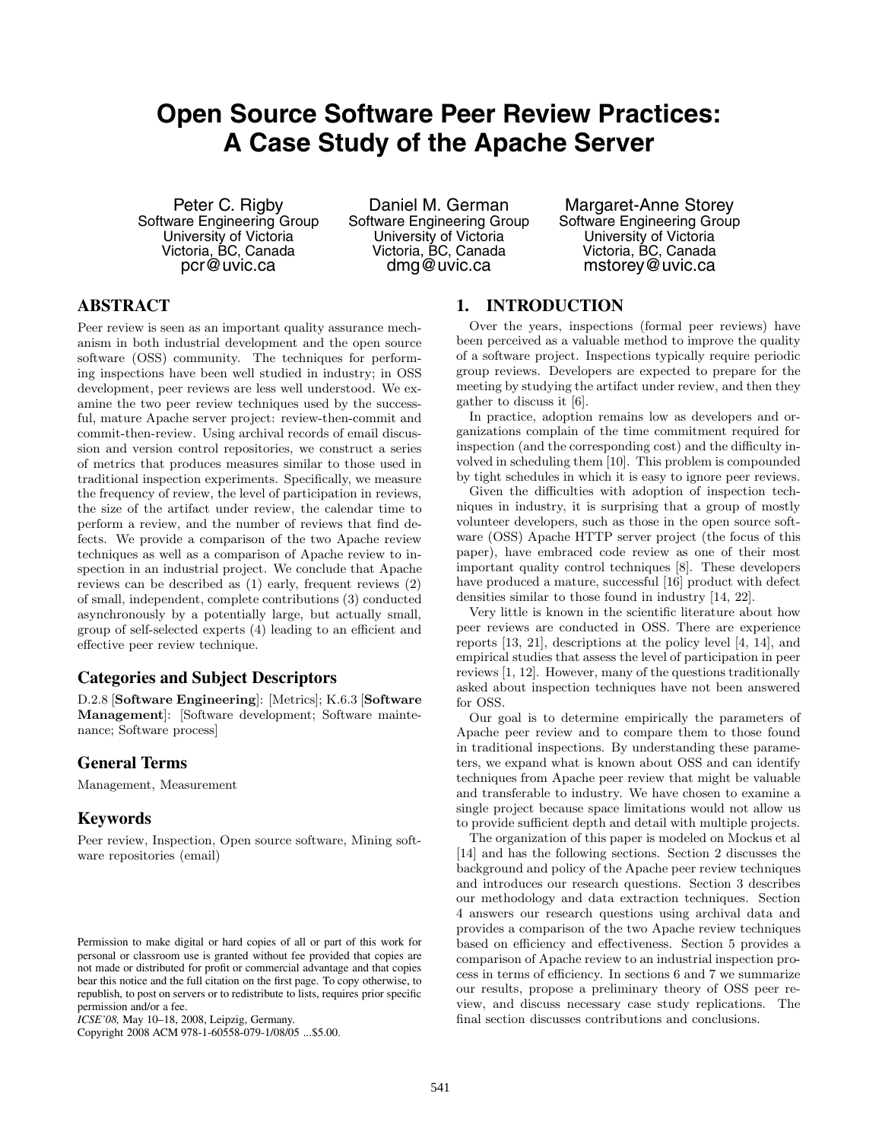# **Open Source Software Peer Review Practices: A Case Study of the Apache Server**

Peter C. Rigby Software Engineering Group University of Victoria Victoria, BC, Canada pcr@uvic.ca

Daniel M. German Software Engineering Group University of Victoria Victoria, BC, Canada dmg@uvic.ca

Margaret-Anne Storey Software Engineering Group University of Victoria Victoria, BC, Canada mstorey@uvic.ca

# **ABSTRACT**

Peer review is seen as an important quality assurance mechanism in both industrial development and the open source software (OSS) community. The techniques for performing inspections have been well studied in industry; in OSS development, peer reviews are less well understood. We examine the two peer review techniques used by the successful, mature Apache server project: review-then-commit and commit-then-review. Using archival records of email discussion and version control repositories, we construct a series of metrics that produces measures similar to those used in traditional inspection experiments. Specifically, we measure the frequency of review, the level of participation in reviews, the size of the artifact under review, the calendar time to perform a review, and the number of reviews that find defects. We provide a comparison of the two Apache review techniques as well as a comparison of Apache review to inspection in an industrial project. We conclude that Apache reviews can be described as (1) early, frequent reviews (2) of small, independent, complete contributions (3) conducted asynchronously by a potentially large, but actually small, group of self-selected experts (4) leading to an efficient and effective peer review technique.

## **Categories and Subject Descriptors**

D.2.8 [**Software Engineering**]: [Metrics]; K.6.3 [**Software Management**]: [Software development; Software maintenance; Software process]

#### **General Terms**

Management, Measurement

## **Keywords**

Peer review, Inspection, Open source software, Mining software repositories (email)

Copyright 2008 ACM 978-1-60558-079-1/08/05 ...\$5.00.

### **1. INTRODUCTION**

Over the years, inspections (formal peer reviews) have been perceived as a valuable method to improve the quality of a software project. Inspections typically require periodic group reviews. Developers are expected to prepare for the meeting by studying the artifact under review, and then they gather to discuss it [6].

In practice, adoption remains low as developers and organizations complain of the time commitment required for inspection (and the corresponding cost) and the difficulty involved in scheduling them [10]. This problem is compounded by tight schedules in which it is easy to ignore peer reviews.

Given the difficulties with adoption of inspection techniques in industry, it is surprising that a group of mostly volunteer developers, such as those in the open source software (OSS) Apache HTTP server project (the focus of this paper), have embraced code review as one of their most important quality control techniques [8]. These developers have produced a mature, successful [16] product with defect densities similar to those found in industry [14, 22].

Very little is known in the scientific literature about how peer reviews are conducted in OSS. There are experience reports [13, 21], descriptions at the policy level [4, 14], and empirical studies that assess the level of participation in peer reviews [1, 12]. However, many of the questions traditionally asked about inspection techniques have not been answered for OSS.

Our goal is to determine empirically the parameters of Apache peer review and to compare them to those found in traditional inspections. By understanding these parameters, we expand what is known about OSS and can identify techniques from Apache peer review that might be valuable and transferable to industry. We have chosen to examine a single project because space limitations would not allow us to provide sufficient depth and detail with multiple projects.

The organization of this paper is modeled on Mockus et al [14] and has the following sections. Section 2 discusses the background and policy of the Apache peer review techniques and introduces our research questions. Section 3 describes our methodology and data extraction techniques. Section 4 answers our research questions using archival data and provides a comparison of the two Apache review techniques based on efficiency and effectiveness. Section 5 provides a comparison of Apache review to an industrial inspection process in terms of efficiency. In sections 6 and 7 we summarize our results, propose a preliminary theory of OSS peer review, and discuss necessary case study replications. The final section discusses contributions and conclusions.

Permission to make digital or hard copies of all or part of this work for personal or classroom use is granted without fee provided that copies are not made or distributed for profit or commercial advantage and that copies bear this notice and the full citation on the first page. To copy otherwise, to republish, to post on servers or to redistribute to lists, requires prior specific permission and/or a fee.

*ICSE'08,* May 10–18, 2008, Leipzig, Germany.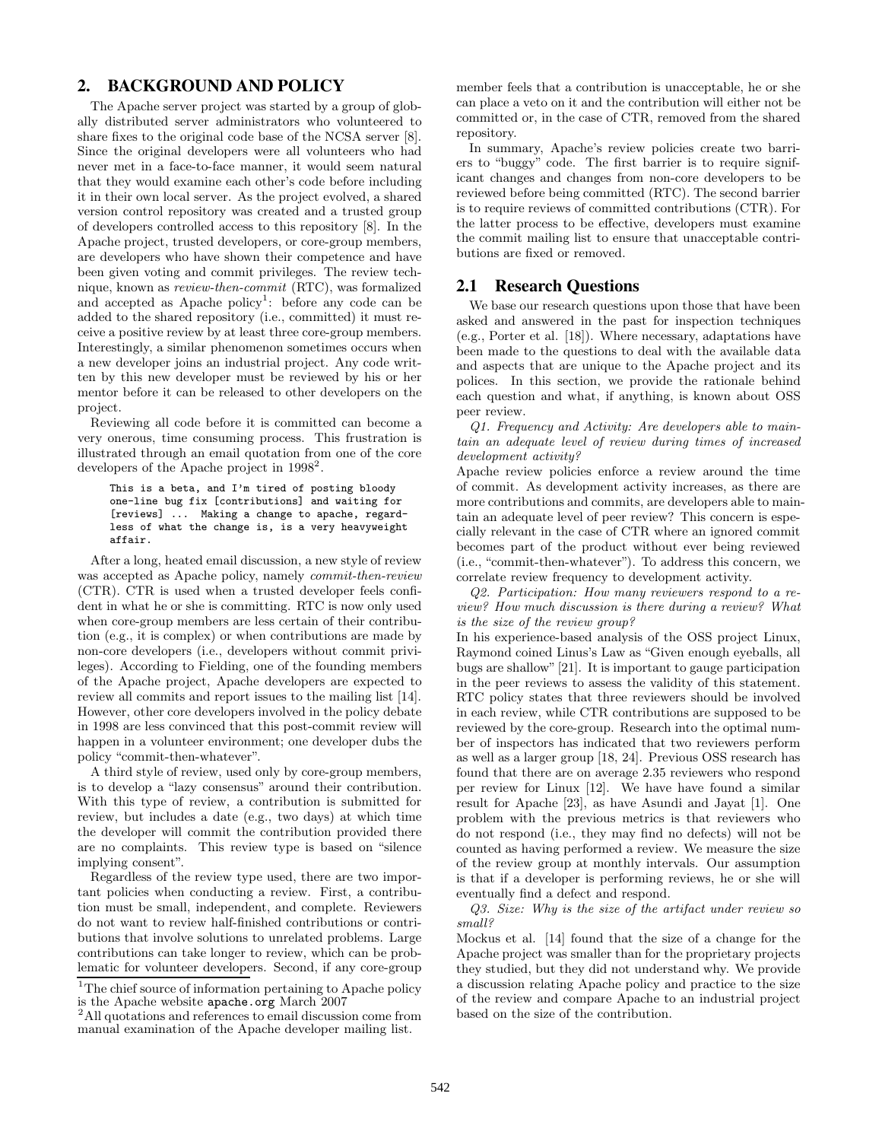## **2. BACKGROUND AND POLICY**

The Apache server project was started by a group of globally distributed server administrators who volunteered to share fixes to the original code base of the NCSA server [8]. Since the original developers were all volunteers who had never met in a face-to-face manner, it would seem natural that they would examine each other's code before including it in their own local server. As the project evolved, a shared version control repository was created and a trusted group of developers controlled access to this repository [8]. In the Apache project, trusted developers, or core-group members, are developers who have shown their competence and have been given voting and commit privileges. The review technique, known as review-then-commit (RTC), was formalized and accepted as Apache policy<sup>1</sup>: before any code can be added to the shared repository (i.e., committed) it must receive a positive review by at least three core-group members. Interestingly, a similar phenomenon sometimes occurs when a new developer joins an industrial project. Any code written by this new developer must be reviewed by his or her mentor before it can be released to other developers on the project.

Reviewing all code before it is committed can become a very onerous, time consuming process. This frustration is illustrated through an email quotation from one of the core developers of the Apache project in 1998<sup>2</sup>.

This is a beta, and I'm tired of posting bloody one-line bug fix [contributions] and waiting for [reviews] ... Making a change to apache, regardless of what the change is, is a very heavyweight affair.

After a long, heated email discussion, a new style of review was accepted as Apache policy, namely *commit-then-review* (CTR). CTR is used when a trusted developer feels confident in what he or she is committing. RTC is now only used when core-group members are less certain of their contribution (e.g., it is complex) or when contributions are made by non-core developers (i.e., developers without commit privileges). According to Fielding, one of the founding members of the Apache project, Apache developers are expected to review all commits and report issues to the mailing list [14]. However, other core developers involved in the policy debate in 1998 are less convinced that this post-commit review will happen in a volunteer environment; one developer dubs the policy "commit-then-whatever".

A third style of review, used only by core-group members, is to develop a "lazy consensus" around their contribution. With this type of review, a contribution is submitted for review, but includes a date (e.g., two days) at which time the developer will commit the contribution provided there are no complaints. This review type is based on "silence implying consent".

Regardless of the review type used, there are two important policies when conducting a review. First, a contribution must be small, independent, and complete. Reviewers do not want to review half-finished contributions or contributions that involve solutions to unrelated problems. Large contributions can take longer to review, which can be problematic for volunteer developers. Second, if any core-group

member feels that a contribution is unacceptable, he or she can place a veto on it and the contribution will either not be committed or, in the case of CTR, removed from the shared repository.

In summary, Apache's review policies create two barriers to "buggy" code. The first barrier is to require significant changes and changes from non-core developers to be reviewed before being committed (RTC). The second barrier is to require reviews of committed contributions (CTR). For the latter process to be effective, developers must examine the commit mailing list to ensure that unacceptable contributions are fixed or removed.

## **2.1 Research Questions**

We base our research questions upon those that have been asked and answered in the past for inspection techniques (e.g., Porter et al. [18]). Where necessary, adaptations have been made to the questions to deal with the available data and aspects that are unique to the Apache project and its polices. In this section, we provide the rationale behind each question and what, if anything, is known about OSS peer review.

Q1. Frequency and Activity: Are developers able to maintain an adequate level of review during times of increased development activity?

Apache review policies enforce a review around the time of commit. As development activity increases, as there are more contributions and commits, are developers able to maintain an adequate level of peer review? This concern is especially relevant in the case of CTR where an ignored commit becomes part of the product without ever being reviewed (i.e., "commit-then-whatever"). To address this concern, we correlate review frequency to development activity.

Q2. Participation: How many reviewers respond to a review? How much discussion is there during a review? What is the size of the review group?

In his experience-based analysis of the OSS project Linux, Raymond coined Linus's Law as "Given enough eyeballs, all bugs are shallow"[21]. It is important to gauge participation in the peer reviews to assess the validity of this statement. RTC policy states that three reviewers should be involved in each review, while CTR contributions are supposed to be reviewed by the core-group. Research into the optimal number of inspectors has indicated that two reviewers perform as well as a larger group [18, 24]. Previous OSS research has found that there are on average 2.35 reviewers who respond per review for Linux [12]. We have have found a similar result for Apache [23], as have Asundi and Jayat [1]. One problem with the previous metrics is that reviewers who do not respond (i.e., they may find no defects) will not be counted as having performed a review. We measure the size of the review group at monthly intervals. Our assumption is that if a developer is performing reviews, he or she will eventually find a defect and respond.

Q3. Size: Why is the size of the artifact under review so small?

Mockus et al. [14] found that the size of a change for the Apache project was smaller than for the proprietary projects they studied, but they did not understand why. We provide a discussion relating Apache policy and practice to the size of the review and compare Apache to an industrial project based on the size of the contribution.

<sup>&</sup>lt;sup>1</sup>The chief source of information pertaining to Apache policy

is the Apache website apache.org March 2007  $2$ All quotations and references to email discussion come from manual examination of the Apache developer mailing list.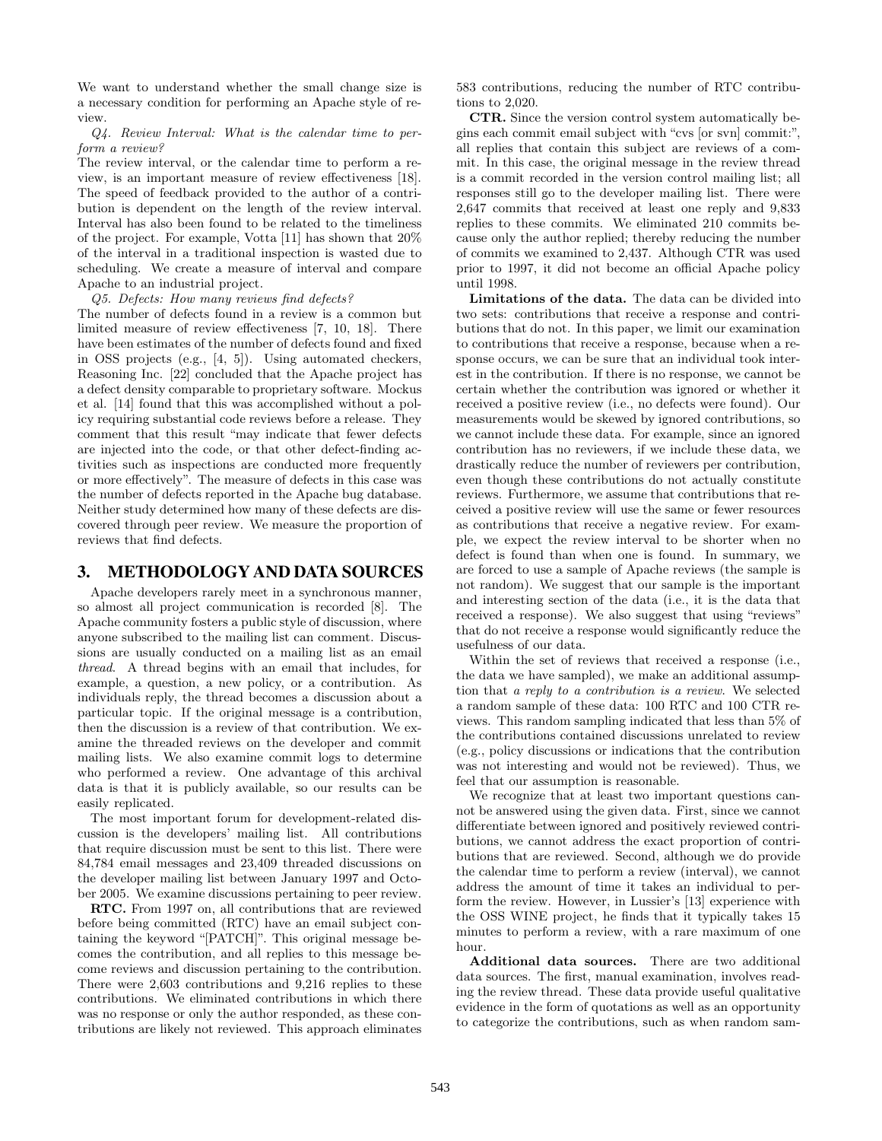We want to understand whether the small change size is a necessary condition for performing an Apache style of review.

Q4. Review Interval: What is the calendar time to perform a review?

The review interval, or the calendar time to perform a review, is an important measure of review effectiveness [18]. The speed of feedback provided to the author of a contribution is dependent on the length of the review interval. Interval has also been found to be related to the timeliness of the project. For example, Votta [11] has shown that 20% of the interval in a traditional inspection is wasted due to scheduling. We create a measure of interval and compare Apache to an industrial project.

Q5. Defects: How many reviews find defects?

The number of defects found in a review is a common but limited measure of review effectiveness [7, 10, 18]. There have been estimates of the number of defects found and fixed in OSS projects (e.g., [4, 5]). Using automated checkers, Reasoning Inc. [22] concluded that the Apache project has a defect density comparable to proprietary software. Mockus et al. [14] found that this was accomplished without a policy requiring substantial code reviews before a release. They comment that this result "may indicate that fewer defects are injected into the code, or that other defect-finding activities such as inspections are conducted more frequently or more effectively". The measure of defects in this case was the number of defects reported in the Apache bug database. Neither study determined how many of these defects are discovered through peer review. We measure the proportion of reviews that find defects.

#### **3. METHODOLOGY AND DATA SOURCES**

Apache developers rarely meet in a synchronous manner, so almost all project communication is recorded [8]. The Apache community fosters a public style of discussion, where anyone subscribed to the mailing list can comment. Discussions are usually conducted on a mailing list as an email thread. A thread begins with an email that includes, for example, a question, a new policy, or a contribution. As individuals reply, the thread becomes a discussion about a particular topic. If the original message is a contribution, then the discussion is a review of that contribution. We examine the threaded reviews on the developer and commit mailing lists. We also examine commit logs to determine who performed a review. One advantage of this archival data is that it is publicly available, so our results can be easily replicated.

The most important forum for development-related discussion is the developers' mailing list. All contributions that require discussion must be sent to this list. There were 84,784 email messages and 23,409 threaded discussions on the developer mailing list between January 1997 and October 2005. We examine discussions pertaining to peer review.

**RTC.** From 1997 on, all contributions that are reviewed before being committed (RTC) have an email subject containing the keyword "[PATCH]". This original message becomes the contribution, and all replies to this message become reviews and discussion pertaining to the contribution. There were 2,603 contributions and 9,216 replies to these contributions. We eliminated contributions in which there was no response or only the author responded, as these contributions are likely not reviewed. This approach eliminates

583 contributions, reducing the number of RTC contributions to 2,020.

**CTR.** Since the version control system automatically begins each commit email subject with "cvs [or svn] commit:", all replies that contain this subject are reviews of a commit. In this case, the original message in the review thread is a commit recorded in the version control mailing list; all responses still go to the developer mailing list. There were 2,647 commits that received at least one reply and 9,833 replies to these commits. We eliminated 210 commits because only the author replied; thereby reducing the number of commits we examined to 2,437. Although CTR was used prior to 1997, it did not become an official Apache policy until 1998.

**Limitations of the data.** The data can be divided into two sets: contributions that receive a response and contributions that do not. In this paper, we limit our examination to contributions that receive a response, because when a response occurs, we can be sure that an individual took interest in the contribution. If there is no response, we cannot be certain whether the contribution was ignored or whether it received a positive review (i.e., no defects were found). Our measurements would be skewed by ignored contributions, so we cannot include these data. For example, since an ignored contribution has no reviewers, if we include these data, we drastically reduce the number of reviewers per contribution, even though these contributions do not actually constitute reviews. Furthermore, we assume that contributions that received a positive review will use the same or fewer resources as contributions that receive a negative review. For example, we expect the review interval to be shorter when no defect is found than when one is found. In summary, we are forced to use a sample of Apache reviews (the sample is not random). We suggest that our sample is the important and interesting section of the data (i.e., it is the data that received a response). We also suggest that using "reviews" that do not receive a response would significantly reduce the usefulness of our data.

Within the set of reviews that received a response (i.e., the data we have sampled), we make an additional assumption that a reply to a contribution is a review. We selected a random sample of these data: 100 RTC and 100 CTR reviews. This random sampling indicated that less than 5% of the contributions contained discussions unrelated to review (e.g., policy discussions or indications that the contribution was not interesting and would not be reviewed). Thus, we feel that our assumption is reasonable.

We recognize that at least two important questions cannot be answered using the given data. First, since we cannot differentiate between ignored and positively reviewed contributions, we cannot address the exact proportion of contributions that are reviewed. Second, although we do provide the calendar time to perform a review (interval), we cannot address the amount of time it takes an individual to perform the review. However, in Lussier's [13] experience with the OSS WINE project, he finds that it typically takes 15 minutes to perform a review, with a rare maximum of one hour.

**Additional data sources.** There are two additional data sources. The first, manual examination, involves reading the review thread. These data provide useful qualitative evidence in the form of quotations as well as an opportunity to categorize the contributions, such as when random sam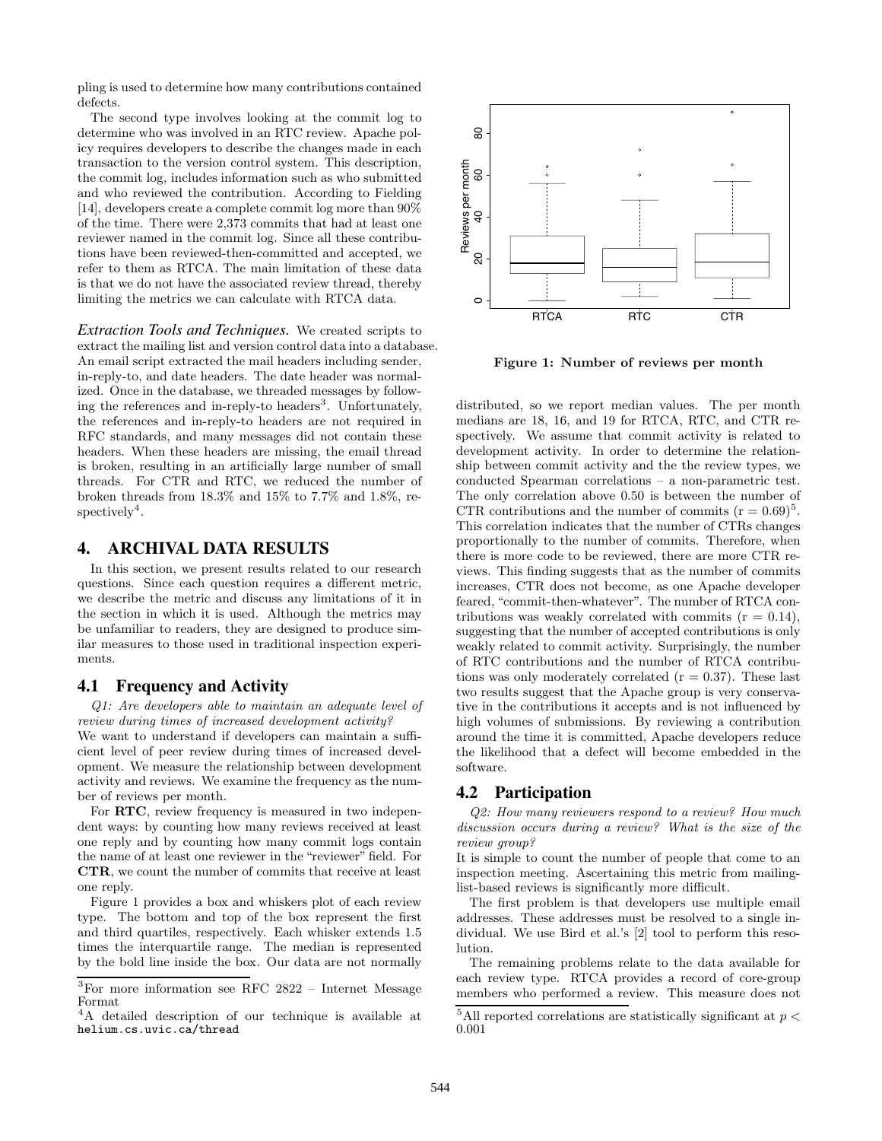pling is used to determine how many contributions contained defects.

The second type involves looking at the commit log to determine who was involved in an RTC review. Apache policy requires developers to describe the changes made in each transaction to the version control system. This description, the commit log, includes information such as who submitted and who reviewed the contribution. According to Fielding [14], developers create a complete commit log more than 90% of the time. There were 2,373 commits that had at least one reviewer named in the commit log. Since all these contributions have been reviewed-then-committed and accepted, we refer to them as RTCA. The main limitation of these data is that we do not have the associated review thread, thereby limiting the metrics we can calculate with RTCA data.

*Extraction Tools and Techniques.* We created scripts to extract the mailing list and version control data into a database. An email script extracted the mail headers including sender, in-reply-to, and date headers. The date header was normalized. Once in the database, we threaded messages by following the references and in-reply-to headers<sup>3</sup>. Unfortunately, the references and in-reply-to headers are not required in RFC standards, and many messages did not contain these headers. When these headers are missing, the email thread is broken, resulting in an artificially large number of small threads. For CTR and RTC, we reduced the number of broken threads from 18.3% and 15% to 7.7% and 1.8%, respectively<sup>4</sup>.

#### **4. ARCHIVAL DATA RESULTS**

In this section, we present results related to our research questions. Since each question requires a different metric, we describe the metric and discuss any limitations of it in the section in which it is used. Although the metrics may be unfamiliar to readers, they are designed to produce similar measures to those used in traditional inspection experiments.

#### **4.1 Frequency and Activity**

Q1: Are developers able to maintain an adequate level of review during times of increased development activity? We want to understand if developers can maintain a sufficient level of peer review during times of increased devel-

opment. We measure the relationship between development activity and reviews. We examine the frequency as the number of reviews per month.

For **RTC**, review frequency is measured in two independent ways: by counting how many reviews received at least one reply and by counting how many commit logs contain the name of at least one reviewer in the "reviewer" field. For **CTR**, we count the number of commits that receive at least one reply.

Figure 1 provides a box and whiskers plot of each review type. The bottom and top of the box represent the first and third quartiles, respectively. Each whisker extends 1.5 times the interquartile range. The median is represented by the bold line inside the box. Our data are not normally



**Figure 1: Number of reviews per month**

distributed, so we report median values. The per month medians are 18, 16, and 19 for RTCA, RTC, and CTR respectively. We assume that commit activity is related to development activity. In order to determine the relationship between commit activity and the the review types, we conducted Spearman correlations – a non-parametric test. The only correlation above 0.50 is between the number of CTR contributions and the number of commits  $(r = 0.69)^5$ . This correlation indicates that the number of CTRs changes proportionally to the number of commits. Therefore, when there is more code to be reviewed, there are more CTR reviews. This finding suggests that as the number of commits increases, CTR does not become, as one Apache developer feared, "commit-then-whatever". The number of RTCA contributions was weakly correlated with commits  $(r = 0.14)$ , suggesting that the number of accepted contributions is only weakly related to commit activity. Surprisingly, the number of RTC contributions and the number of RTCA contributions was only moderately correlated  $(r = 0.37)$ . These last two results suggest that the Apache group is very conservative in the contributions it accepts and is not influenced by high volumes of submissions. By reviewing a contribution around the time it is committed, Apache developers reduce the likelihood that a defect will become embedded in the software.

## **4.2 Participation**

Q2: How many reviewers respond to a review? How much discussion occurs during a review? What is the size of the review group?

It is simple to count the number of people that come to an inspection meeting. Ascertaining this metric from mailinglist-based reviews is significantly more difficult.

The first problem is that developers use multiple email addresses. These addresses must be resolved to a single individual. We use Bird et al.'s [2] tool to perform this resolution.

The remaining problems relate to the data available for each review type. RTCA provides a record of core-group members who performed a review. This measure does not

 $^3\rm{For}$  more information see RFC 2822 – Internet Message Format

<sup>4</sup>A detailed description of our technique is available at helium.cs.uvic.ca/thread

<sup>5</sup>All reported correlations are statistically significant at *p <* 0*.*001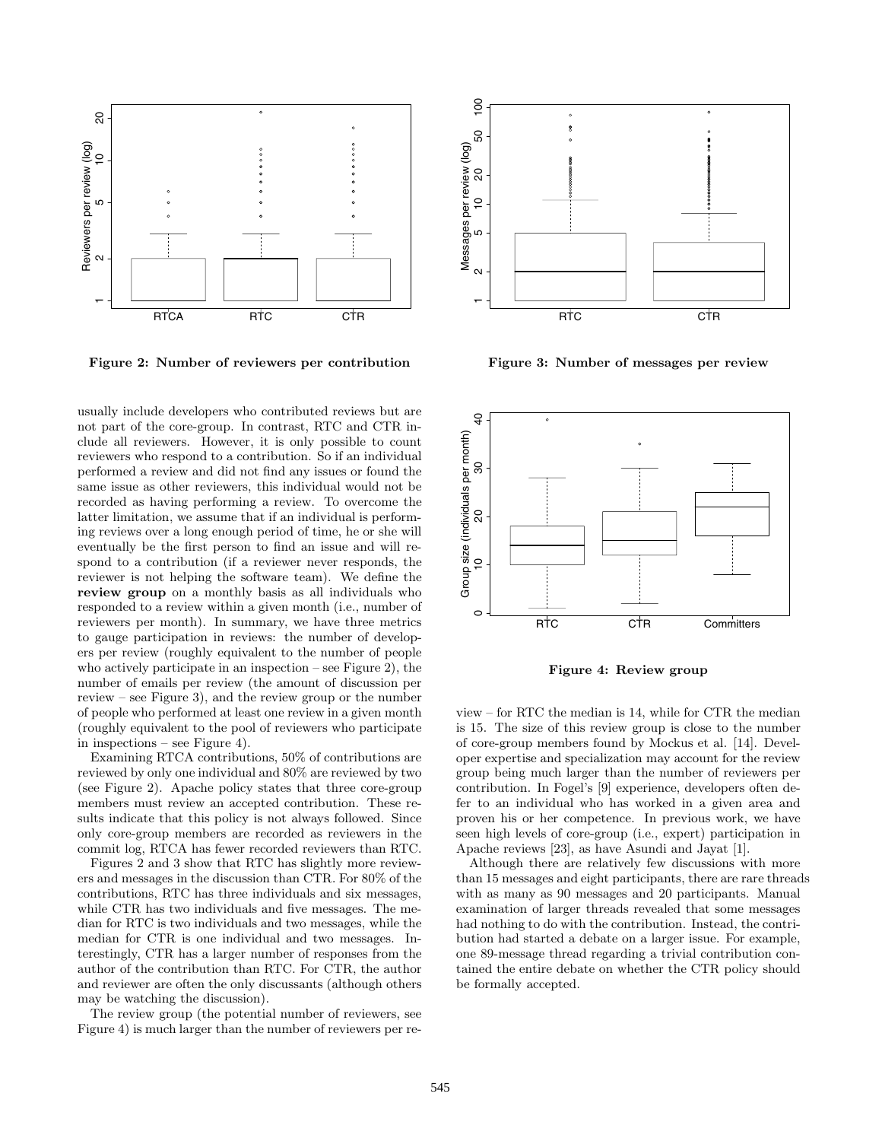

**Figure 2: Number of reviewers per contribution**

usually include developers who contributed reviews but are not part of the core-group. In contrast, RTC and CTR include all reviewers. However, it is only possible to count reviewers who respond to a contribution. So if an individual performed a review and did not find any issues or found the same issue as other reviewers, this individual would not be recorded as having performing a review. To overcome the latter limitation, we assume that if an individual is performing reviews over a long enough period of time, he or she will eventually be the first person to find an issue and will respond to a contribution (if a reviewer never responds, the reviewer is not helping the software team). We define the **review group** on a monthly basis as all individuals who responded to a review within a given month (i.e., number of reviewers per month). In summary, we have three metrics to gauge participation in reviews: the number of developers per review (roughly equivalent to the number of people who actively participate in an inspection – see Figure 2), the number of emails per review (the amount of discussion per review – see Figure 3), and the review group or the number of people who performed at least one review in a given month (roughly equivalent to the pool of reviewers who participate in inspections – see Figure 4).

Examining RTCA contributions, 50% of contributions are reviewed by only one individual and 80% are reviewed by two (see Figure 2). Apache policy states that three core-group members must review an accepted contribution. These results indicate that this policy is not always followed. Since only core-group members are recorded as reviewers in the commit log, RTCA has fewer recorded reviewers than RTC.

Figures 2 and 3 show that RTC has slightly more reviewers and messages in the discussion than CTR. For 80% of the contributions, RTC has three individuals and six messages, while CTR has two individuals and five messages. The median for RTC is two individuals and two messages, while the median for CTR is one individual and two messages. Interestingly, CTR has a larger number of responses from the author of the contribution than RTC. For CTR, the author and reviewer are often the only discussants (although others may be watching the discussion).

The review group (the potential number of reviewers, see Figure 4) is much larger than the number of reviewers per re-



**Figure 3: Number of messages per review**



**Figure 4: Review group**

view – for RTC the median is 14, while for CTR the median is 15. The size of this review group is close to the number of core-group members found by Mockus et al. [14]. Developer expertise and specialization may account for the review group being much larger than the number of reviewers per contribution. In Fogel's [9] experience, developers often defer to an individual who has worked in a given area and proven his or her competence. In previous work, we have seen high levels of core-group (i.e., expert) participation in Apache reviews [23], as have Asundi and Jayat [1].

Although there are relatively few discussions with more than 15 messages and eight participants, there are rare threads with as many as 90 messages and 20 participants. Manual examination of larger threads revealed that some messages had nothing to do with the contribution. Instead, the contribution had started a debate on a larger issue. For example, one 89-message thread regarding a trivial contribution contained the entire debate on whether the CTR policy should be formally accepted.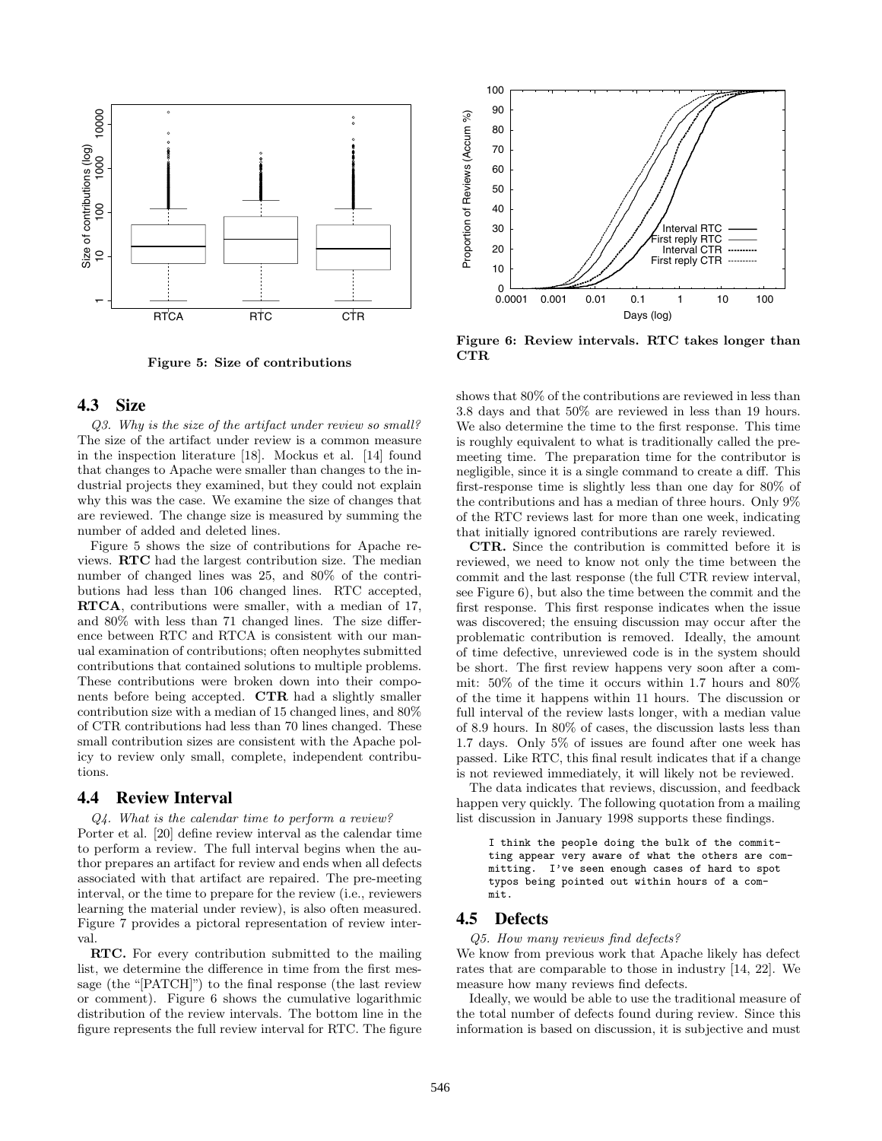

**Figure 5: Size of contributions**

#### **4.3 Size**

Q3. Why is the size of the artifact under review so small? The size of the artifact under review is a common measure in the inspection literature [18]. Mockus et al. [14] found that changes to Apache were smaller than changes to the industrial projects they examined, but they could not explain why this was the case. We examine the size of changes that are reviewed. The change size is measured by summing the number of added and deleted lines.

Figure 5 shows the size of contributions for Apache reviews. **RTC** had the largest contribution size. The median number of changed lines was 25, and 80% of the contributions had less than 106 changed lines. RTC accepted, **RTCA**, contributions were smaller, with a median of 17, and 80% with less than 71 changed lines. The size difference between RTC and RTCA is consistent with our manual examination of contributions; often neophytes submitted contributions that contained solutions to multiple problems. These contributions were broken down into their components before being accepted. **CTR** had a slightly smaller contribution size with a median of 15 changed lines, and 80% of CTR contributions had less than 70 lines changed. These small contribution sizes are consistent with the Apache policy to review only small, complete, independent contributions.

#### **4.4 Review Interval**

Q4. What is the calendar time to perform a review? Porter et al. [20] define review interval as the calendar time to perform a review. The full interval begins when the author prepares an artifact for review and ends when all defects associated with that artifact are repaired. The pre-meeting interval, or the time to prepare for the review (i.e., reviewers learning the material under review), is also often measured. Figure 7 provides a pictoral representation of review interval.

**RTC.** For every contribution submitted to the mailing list, we determine the difference in time from the first message (the "[PATCH]") to the final response (the last review or comment). Figure 6 shows the cumulative logarithmic distribution of the review intervals. The bottom line in the figure represents the full review interval for RTC. The figure



**Figure 6: Review intervals. RTC takes longer than CTR**

shows that 80% of the contributions are reviewed in less than 3.8 days and that 50% are reviewed in less than 19 hours. We also determine the time to the first response. This time is roughly equivalent to what is traditionally called the premeeting time. The preparation time for the contributor is negligible, since it is a single command to create a diff. This first-response time is slightly less than one day for 80% of the contributions and has a median of three hours. Only 9% of the RTC reviews last for more than one week, indicating that initially ignored contributions are rarely reviewed.

**CTR.** Since the contribution is committed before it is reviewed, we need to know not only the time between the commit and the last response (the full CTR review interval, see Figure 6), but also the time between the commit and the first response. This first response indicates when the issue was discovered; the ensuing discussion may occur after the problematic contribution is removed. Ideally, the amount of time defective, unreviewed code is in the system should be short. The first review happens very soon after a commit: 50% of the time it occurs within 1.7 hours and 80% of the time it happens within 11 hours. The discussion or full interval of the review lasts longer, with a median value of 8.9 hours. In 80% of cases, the discussion lasts less than 1.7 days. Only 5% of issues are found after one week has passed. Like RTC, this final result indicates that if a change is not reviewed immediately, it will likely not be reviewed.

The data indicates that reviews, discussion, and feedback happen very quickly. The following quotation from a mailing list discussion in January 1998 supports these findings.

I think the people doing the bulk of the committing appear very aware of what the others are committing. I've seen enough cases of hard to spot typos being pointed out within hours of a commit.

## **4.5 Defects**

Q5. How many reviews find defects?

We know from previous work that Apache likely has defect rates that are comparable to those in industry [14, 22]. We measure how many reviews find defects.

Ideally, we would be able to use the traditional measure of the total number of defects found during review. Since this information is based on discussion, it is subjective and must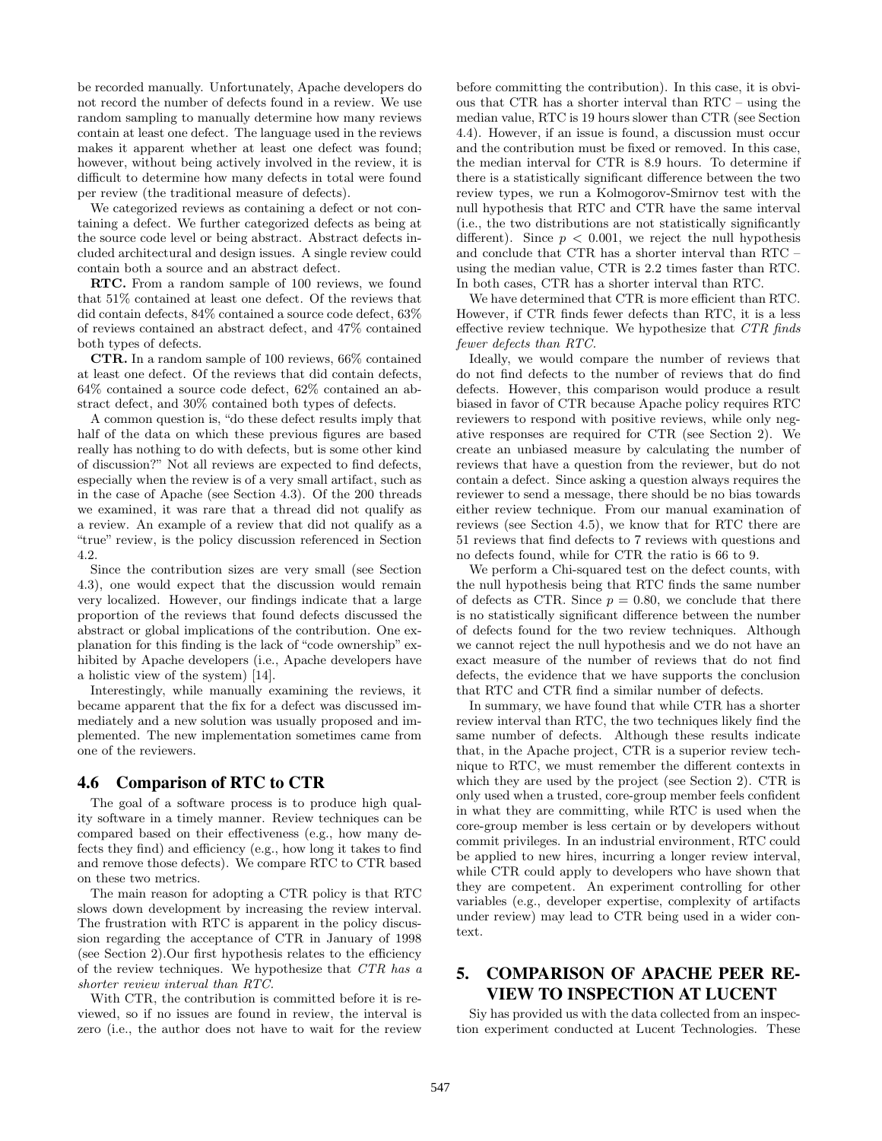be recorded manually. Unfortunately, Apache developers do not record the number of defects found in a review. We use random sampling to manually determine how many reviews contain at least one defect. The language used in the reviews makes it apparent whether at least one defect was found; however, without being actively involved in the review, it is difficult to determine how many defects in total were found per review (the traditional measure of defects).

We categorized reviews as containing a defect or not containing a defect. We further categorized defects as being at the source code level or being abstract. Abstract defects included architectural and design issues. A single review could contain both a source and an abstract defect.

**RTC.** From a random sample of 100 reviews, we found that 51% contained at least one defect. Of the reviews that did contain defects, 84% contained a source code defect, 63% of reviews contained an abstract defect, and 47% contained both types of defects.

**CTR.** In a random sample of 100 reviews, 66% contained at least one defect. Of the reviews that did contain defects, 64% contained a source code defect, 62% contained an abstract defect, and 30% contained both types of defects.

A common question is, "do these defect results imply that half of the data on which these previous figures are based really has nothing to do with defects, but is some other kind of discussion?" Not all reviews are expected to find defects, especially when the review is of a very small artifact, such as in the case of Apache (see Section 4.3). Of the 200 threads we examined, it was rare that a thread did not qualify as a review. An example of a review that did not qualify as a "true" review, is the policy discussion referenced in Section 4.2.

Since the contribution sizes are very small (see Section 4.3), one would expect that the discussion would remain very localized. However, our findings indicate that a large proportion of the reviews that found defects discussed the abstract or global implications of the contribution. One explanation for this finding is the lack of "code ownership" exhibited by Apache developers (i.e., Apache developers have a holistic view of the system) [14].

Interestingly, while manually examining the reviews, it became apparent that the fix for a defect was discussed immediately and a new solution was usually proposed and implemented. The new implementation sometimes came from one of the reviewers.

#### **4.6 Comparison of RTC to CTR**

The goal of a software process is to produce high quality software in a timely manner. Review techniques can be compared based on their effectiveness (e.g., how many defects they find) and efficiency (e.g., how long it takes to find and remove those defects). We compare RTC to CTR based on these two metrics.

The main reason for adopting a CTR policy is that RTC slows down development by increasing the review interval. The frustration with RTC is apparent in the policy discussion regarding the acceptance of CTR in January of 1998 (see Section 2).Our first hypothesis relates to the efficiency of the review techniques. We hypothesize that CTR has a shorter review interval than RTC.

With CTR, the contribution is committed before it is reviewed, so if no issues are found in review, the interval is zero (i.e., the author does not have to wait for the review before committing the contribution). In this case, it is obvious that CTR has a shorter interval than RTC – using the median value, RTC is 19 hours slower than CTR (see Section 4.4). However, if an issue is found, a discussion must occur and the contribution must be fixed or removed. In this case, the median interval for CTR is 8.9 hours. To determine if there is a statistically significant difference between the two review types, we run a Kolmogorov-Smirnov test with the null hypothesis that RTC and CTR have the same interval (i.e., the two distributions are not statistically significantly different). Since  $p < 0.001$ , we reject the null hypothesis and conclude that CTR has a shorter interval than RTC – using the median value, CTR is 2.2 times faster than RTC. In both cases, CTR has a shorter interval than RTC.

We have determined that CTR is more efficient than RTC. However, if CTR finds fewer defects than RTC, it is a less effective review technique. We hypothesize that CTR finds fewer defects than RTC.

Ideally, we would compare the number of reviews that do not find defects to the number of reviews that do find defects. However, this comparison would produce a result biased in favor of CTR because Apache policy requires RTC reviewers to respond with positive reviews, while only negative responses are required for CTR (see Section 2). We create an unbiased measure by calculating the number of reviews that have a question from the reviewer, but do not contain a defect. Since asking a question always requires the reviewer to send a message, there should be no bias towards either review technique. From our manual examination of reviews (see Section 4.5), we know that for RTC there are 51 reviews that find defects to 7 reviews with questions and no defects found, while for CTR the ratio is 66 to 9.

We perform a Chi-squared test on the defect counts, with the null hypothesis being that RTC finds the same number of defects as CTR. Since  $p = 0.80$ , we conclude that there is no statistically significant difference between the number of defects found for the two review techniques. Although we cannot reject the null hypothesis and we do not have an exact measure of the number of reviews that do not find defects, the evidence that we have supports the conclusion that RTC and CTR find a similar number of defects.

In summary, we have found that while CTR has a shorter review interval than RTC, the two techniques likely find the same number of defects. Although these results indicate that, in the Apache project, CTR is a superior review technique to RTC, we must remember the different contexts in which they are used by the project (see Section 2). CTR is only used when a trusted, core-group member feels confident in what they are committing, while RTC is used when the core-group member is less certain or by developers without commit privileges. In an industrial environment, RTC could be applied to new hires, incurring a longer review interval, while CTR could apply to developers who have shown that they are competent. An experiment controlling for other variables (e.g., developer expertise, complexity of artifacts under review) may lead to CTR being used in a wider context.

# **5. COMPARISON OF APACHE PEER RE-VIEW TO INSPECTION AT LUCENT**

Siy has provided us with the data collected from an inspection experiment conducted at Lucent Technologies. These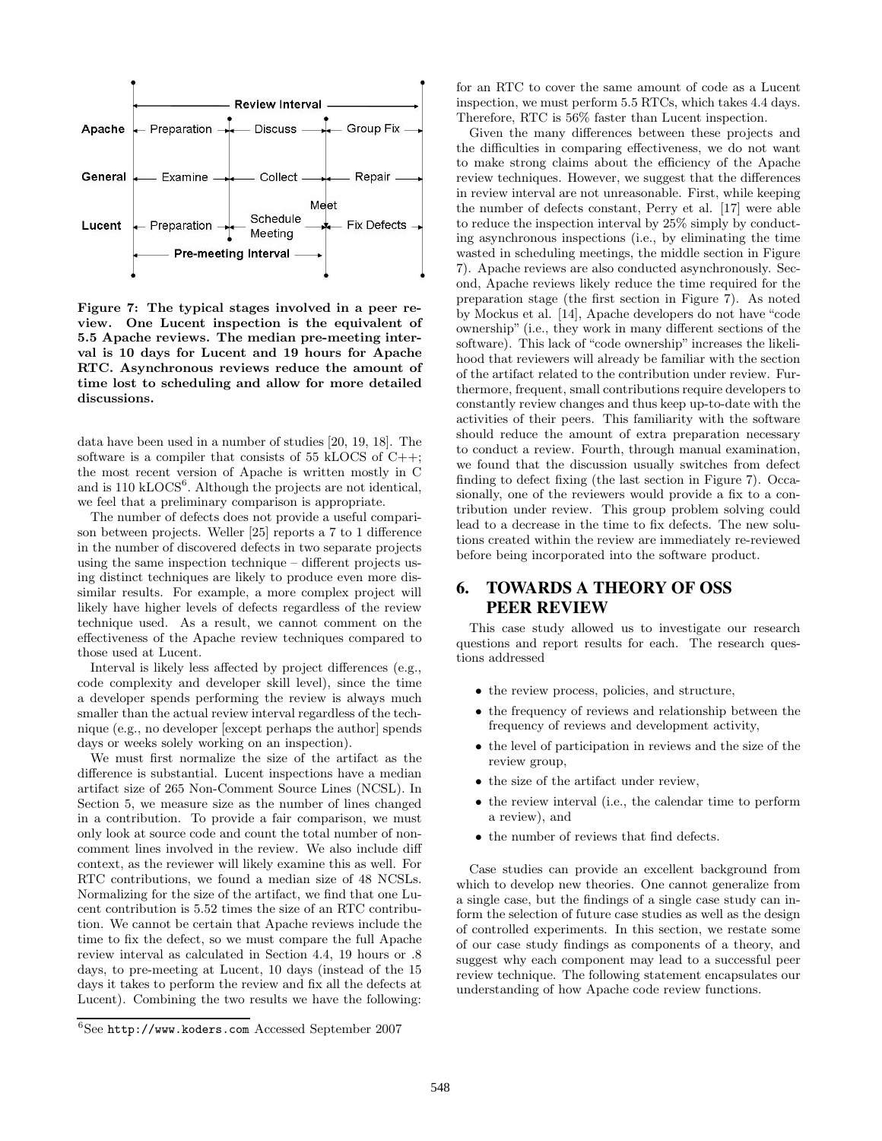

**Figure 7: The typical stages involved in a peer review. One Lucent inspection is the equivalent of 5.5 Apache reviews. The median pre-meeting interval is 10 days for Lucent and 19 hours for Apache RTC. Asynchronous reviews reduce the amount of time lost to scheduling and allow for more detailed discussions.**

data have been used in a number of studies [20, 19, 18]. The software is a compiler that consists of  $55$  kLOCS of C++; the most recent version of Apache is written mostly in C and is  $110 \text{ kLOCS}^6$ . Although the projects are not identical, we feel that a preliminary comparison is appropriate.

The number of defects does not provide a useful comparison between projects. Weller [25] reports a 7 to 1 difference in the number of discovered defects in two separate projects using the same inspection technique – different projects using distinct techniques are likely to produce even more dissimilar results. For example, a more complex project will likely have higher levels of defects regardless of the review technique used. As a result, we cannot comment on the effectiveness of the Apache review techniques compared to those used at Lucent.

Interval is likely less affected by project differences (e.g., code complexity and developer skill level), since the time a developer spends performing the review is always much smaller than the actual review interval regardless of the technique (e.g., no developer [except perhaps the author] spends days or weeks solely working on an inspection).

We must first normalize the size of the artifact as the difference is substantial. Lucent inspections have a median artifact size of 265 Non-Comment Source Lines (NCSL). In Section 5, we measure size as the number of lines changed in a contribution. To provide a fair comparison, we must only look at source code and count the total number of noncomment lines involved in the review. We also include diff context, as the reviewer will likely examine this as well. For RTC contributions, we found a median size of 48 NCSLs. Normalizing for the size of the artifact, we find that one Lucent contribution is 5.52 times the size of an RTC contribution. We cannot be certain that Apache reviews include the time to fix the defect, so we must compare the full Apache review interval as calculated in Section 4.4, 19 hours or .8 days, to pre-meeting at Lucent, 10 days (instead of the 15 days it takes to perform the review and fix all the defects at Lucent). Combining the two results we have the following:

for an RTC to cover the same amount of code as a Lucent inspection, we must perform 5.5 RTCs, which takes 4.4 days. Therefore, RTC is 56% faster than Lucent inspection.

Given the many differences between these projects and the difficulties in comparing effectiveness, we do not want to make strong claims about the efficiency of the Apache review techniques. However, we suggest that the differences in review interval are not unreasonable. First, while keeping the number of defects constant, Perry et al. [17] were able to reduce the inspection interval by 25% simply by conducting asynchronous inspections (i.e., by eliminating the time wasted in scheduling meetings, the middle section in Figure 7). Apache reviews are also conducted asynchronously. Second, Apache reviews likely reduce the time required for the preparation stage (the first section in Figure 7). As noted by Mockus et al. [14], Apache developers do not have "code ownership" (i.e., they work in many different sections of the software). This lack of "code ownership" increases the likelihood that reviewers will already be familiar with the section of the artifact related to the contribution under review. Furthermore, frequent, small contributions require developers to constantly review changes and thus keep up-to-date with the activities of their peers. This familiarity with the software should reduce the amount of extra preparation necessary to conduct a review. Fourth, through manual examination, we found that the discussion usually switches from defect finding to defect fixing (the last section in Figure 7). Occasionally, one of the reviewers would provide a fix to a contribution under review. This group problem solving could lead to a decrease in the time to fix defects. The new solutions created within the review are immediately re-reviewed before being incorporated into the software product.

# **6. TOWARDS A THEORY OF OSS PEER REVIEW**

This case study allowed us to investigate our research questions and report results for each. The research questions addressed

- the review process, policies, and structure,
- *•* the frequency of reviews and relationship between the frequency of reviews and development activity,
- *•* the level of participation in reviews and the size of the review group,
- the size of the artifact under review,
- *•* the review interval (i.e., the calendar time to perform a review), and
- the number of reviews that find defects.

Case studies can provide an excellent background from which to develop new theories. One cannot generalize from a single case, but the findings of a single case study can inform the selection of future case studies as well as the design of controlled experiments. In this section, we restate some of our case study findings as components of a theory, and suggest why each component may lead to a successful peer review technique. The following statement encapsulates our understanding of how Apache code review functions.

 $^6\rm{See}$ http://www.koders.com Accessed September 2007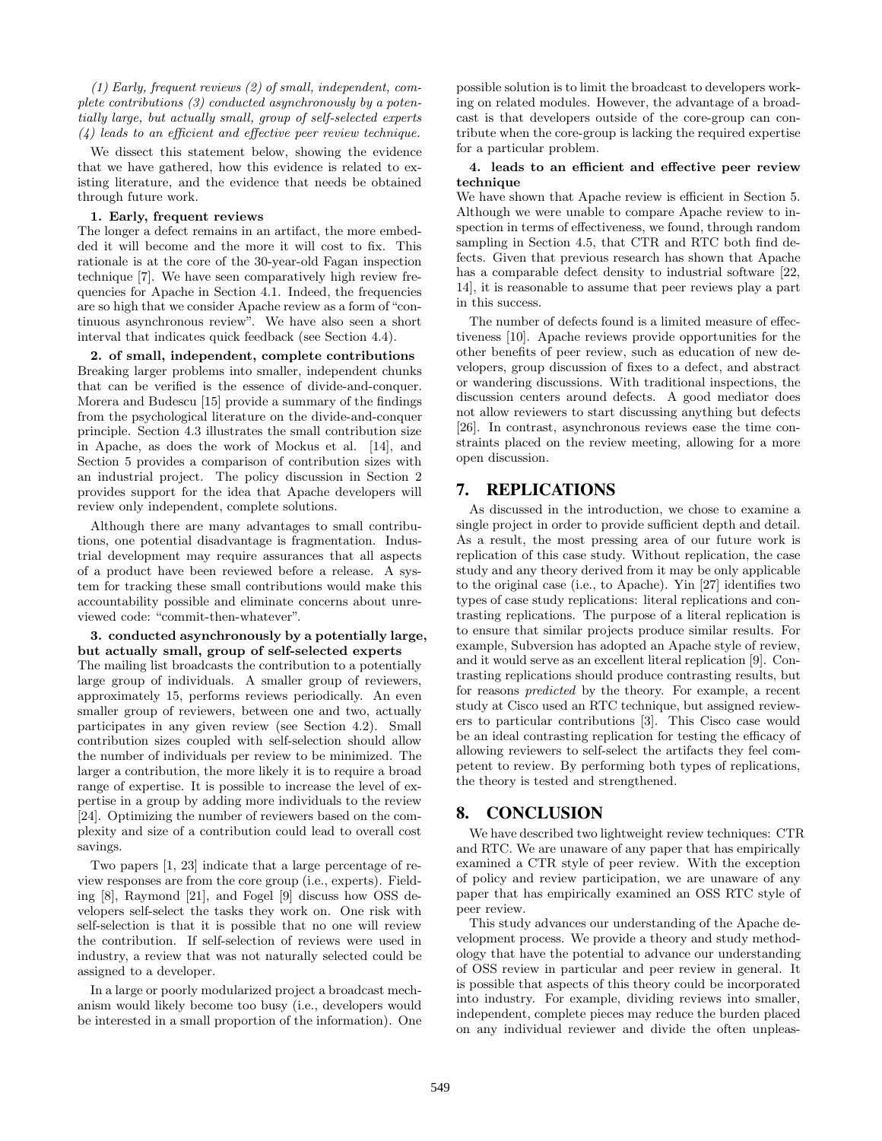(1) Early, frequent reviews (2) of small, independent, complete contributions (3) conducted asynchronously by a potentially large, but actually small, group of self-selected experts (4) leads to an efficient and effective peer review technique.

We dissect this statement below, showing the evidence that we have gathered, how this evidence is related to existing literature, and the evidence that needs be obtained through future work.

#### **1. Early, frequent reviews**

The longer a defect remains in an artifact, the more embedded it will become and the more it will cost to fix. This rationale is at the core of the 30-year-old Fagan inspection technique [7]. We have seen comparatively high review frequencies for Apache in Section 4.1. Indeed, the frequencies are so high that we consider Apache review as a form of "continuous asynchronous review". We have also seen a short interval that indicates quick feedback (see Section 4.4).

**2. of small, independent, complete contributions** Breaking larger problems into smaller, independent chunks that can be verified is the essence of divide-and-conquer. Morera and Budescu [15] provide a summary of the findings from the psychological literature on the divide-and-conquer principle. Section 4.3 illustrates the small contribution size in Apache, as does the work of Mockus et al. [14], and Section 5 provides a comparison of contribution sizes with an industrial project. The policy discussion in Section 2 provides support for the idea that Apache developers will review only independent, complete solutions.

Although there are many advantages to small contributions, one potential disadvantage is fragmentation. Industrial development may require assurances that all aspects of a product have been reviewed before a release. A system for tracking these small contributions would make this accountability possible and eliminate concerns about unreviewed code: "commit-then-whatever".

#### **3. conducted asynchronously by a potentially large, but actually small, group of self-selected experts**

The mailing list broadcasts the contribution to a potentially large group of individuals. A smaller group of reviewers, approximately 15, performs reviews periodically. An even smaller group of reviewers, between one and two, actually participates in any given review (see Section 4.2). Small contribution sizes coupled with self-selection should allow the number of individuals per review to be minimized. The larger a contribution, the more likely it is to require a broad range of expertise. It is possible to increase the level of expertise in a group by adding more individuals to the review [24]. Optimizing the number of reviewers based on the complexity and size of a contribution could lead to overall cost savings.

Two papers [1, 23] indicate that a large percentage of review responses are from the core group (i.e., experts). Fielding [8], Raymond [21], and Fogel [9] discuss how OSS developers self-select the tasks they work on. One risk with self-selection is that it is possible that no one will review the contribution. If self-selection of reviews were used in industry, a review that was not naturally selected could be assigned to a developer.

In a large or poorly modularized project a broadcast mechanism would likely become too busy (i.e., developers would be interested in a small proportion of the information). One possible solution is to limit the broadcast to developers working on related modules. However, the advantage of a broadcast is that developers outside of the core-group can contribute when the core-group is lacking the required expertise for a particular problem.

#### **4. leads to an efficient and effective peer review technique**

We have shown that Apache review is efficient in Section 5. Although we were unable to compare Apache review to inspection in terms of effectiveness, we found, through random sampling in Section 4.5, that CTR and RTC both find defects. Given that previous research has shown that Apache has a comparable defect density to industrial software [22, 14], it is reasonable to assume that peer reviews play a part in this success.

The number of defects found is a limited measure of effectiveness [10]. Apache reviews provide opportunities for the other benefits of peer review, such as education of new developers, group discussion of fixes to a defect, and abstract or wandering discussions. With traditional inspections, the discussion centers around defects. A good mediator does not allow reviewers to start discussing anything but defects [26]. In contrast, asynchronous reviews ease the time constraints placed on the review meeting, allowing for a more open discussion.

#### **7. REPLICATIONS**

As discussed in the introduction, we chose to examine a single project in order to provide sufficient depth and detail. As a result, the most pressing area of our future work is replication of this case study. Without replication, the case study and any theory derived from it may be only applicable to the original case (i.e., to Apache). Yin [27] identifies two types of case study replications: literal replications and contrasting replications. The purpose of a literal replication is to ensure that similar projects produce similar results. For example, Subversion has adopted an Apache style of review, and it would serve as an excellent literal replication [9]. Contrasting replications should produce contrasting results, but for reasons predicted by the theory. For example, a recent study at Cisco used an RTC technique, but assigned reviewers to particular contributions [3]. This Cisco case would be an ideal contrasting replication for testing the efficacy of allowing reviewers to self-select the artifacts they feel competent to review. By performing both types of replications, the theory is tested and strengthened.

#### **8. CONCLUSION**

We have described two lightweight review techniques: CTR and RTC. We are unaware of any paper that has empirically examined a CTR style of peer review. With the exception of policy and review participation, we are unaware of any paper that has empirically examined an OSS RTC style of peer review.

This study advances our understanding of the Apache development process. We provide a theory and study methodology that have the potential to advance our understanding of OSS review in particular and peer review in general. It is possible that aspects of this theory could be incorporated into industry. For example, dividing reviews into smaller, independent, complete pieces may reduce the burden placed on any individual reviewer and divide the often unpleas